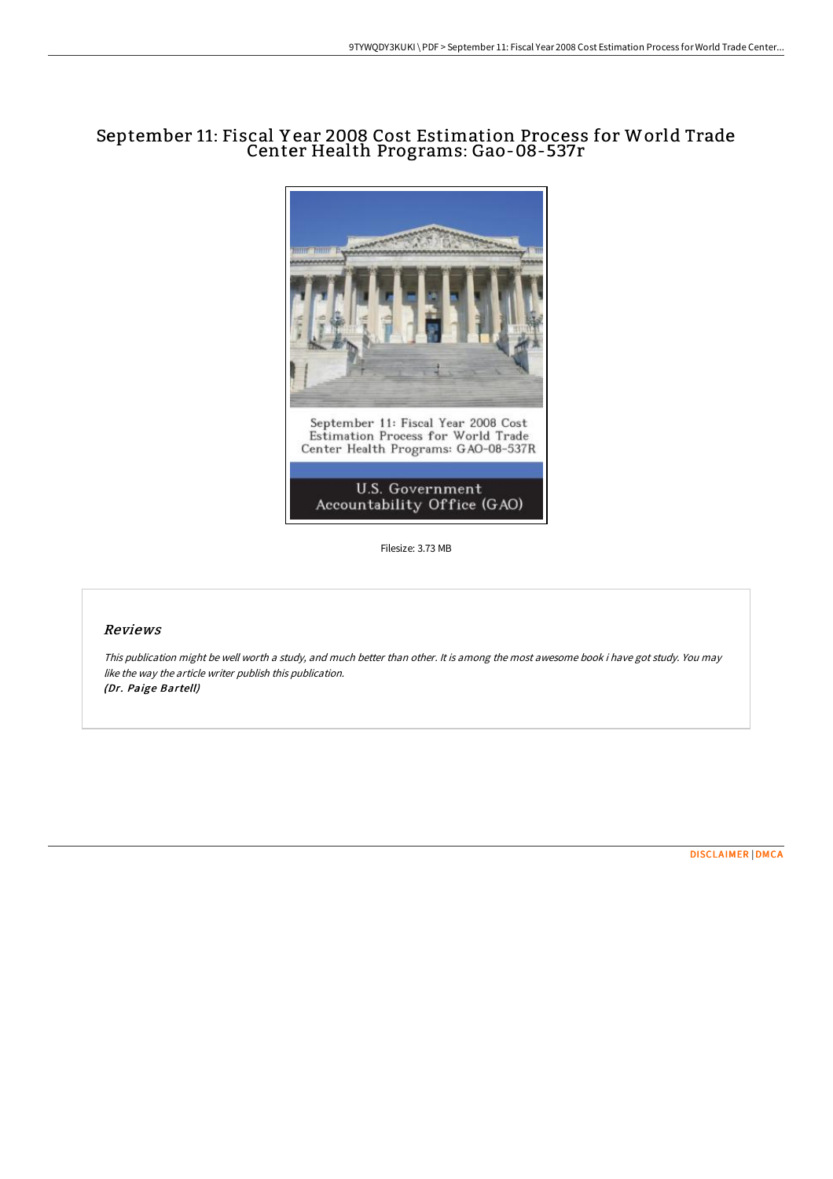## September 11: Fiscal Y ear 2008 Cost Estimation Process for World Trade Center Health Programs: Gao-08-537r



Filesize: 3.73 MB

## Reviews

This publication might be well worth <sup>a</sup> study, and much better than other. It is among the most awesome book i have got study. You may like the way the article writer publish this publication. (Dr. Paige Bartell)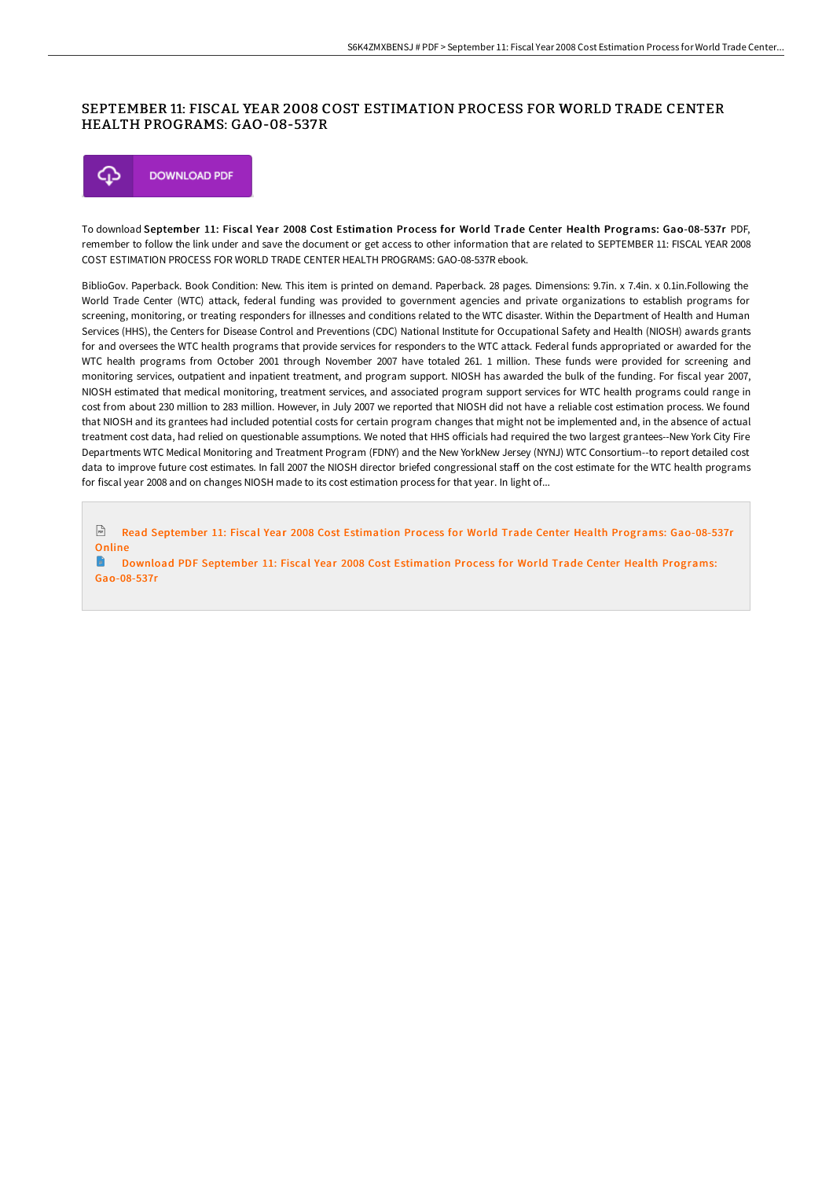## SEPTEMBER 11: FISCAL YEAR 2008 COST ESTIMATION PROCESS FOR WORLD TRADE CENTER HEALTH PROGRAMS: GAO-08-537R



To download September 11: Fiscal Year 2008 Cost Estimation Process for World Trade Center Health Programs: Gao-08-537r PDF, remember to follow the link under and save the document or get access to other information that are related to SEPTEMBER 11: FISCAL YEAR 2008 COST ESTIMATION PROCESS FOR WORLD TRADE CENTER HEALTH PROGRAMS: GAO-08-537R ebook.

BiblioGov. Paperback. Book Condition: New. This item is printed on demand. Paperback. 28 pages. Dimensions: 9.7in. x 7.4in. x 0.1in.Following the World Trade Center (WTC) attack, federal funding was provided to government agencies and private organizations to establish programs for screening, monitoring, or treating responders for illnesses and conditions related to the WTC disaster. Within the Department of Health and Human Services (HHS), the Centers for Disease Control and Preventions (CDC) National Institute for Occupational Safety and Health (NIOSH) awards grants for and oversees the WTC health programs that provide services for responders to the WTC attack. Federal funds appropriated or awarded for the WTC health programs from October 2001 through November 2007 have totaled 261. 1 million. These funds were provided for screening and monitoring services, outpatient and inpatient treatment, and program support. NIOSH has awarded the bulk of the funding. For fiscal year 2007, NIOSH estimated that medical monitoring, treatment services, and associated program support services for WTC health programs could range in cost from about 230 million to 283 million. However, in July 2007 we reported that NIOSH did not have a reliable cost estimation process. We found that NIOSH and its grantees had included potential costs for certain program changes that might not be implemented and, in the absence of actual treatment cost data, had relied on questionable assumptions. We noted that HHS officials had required the two largest grantees--New York City Fire Departments WTC Medical Monitoring and Treatment Program (FDNY) and the New YorkNew Jersey (NYNJ) WTC Consortium--to report detailed cost data to improve future cost estimates. In fall 2007 the NIOSH director briefed congressional staff on the cost estimate for the WTC health programs for fiscal year 2008 and on changes NIOSH made to its cost estimation process for that year. In light of...

 $\left| \frac{1}{2} \right|$ Read September 11: Fiscal Year 2008 Cost Estimation Process for World Trade Center Health Programs: [Gao-08-537r](http://www.bookdirs.com/september-11-fiscal-year-2008-cost-estimation-pr.html) Online

Download PDF September 11: Fiscal Year 2008 Cost Estimation Process for World Trade Center Health Programs: [Gao-08-537r](http://www.bookdirs.com/september-11-fiscal-year-2008-cost-estimation-pr.html)